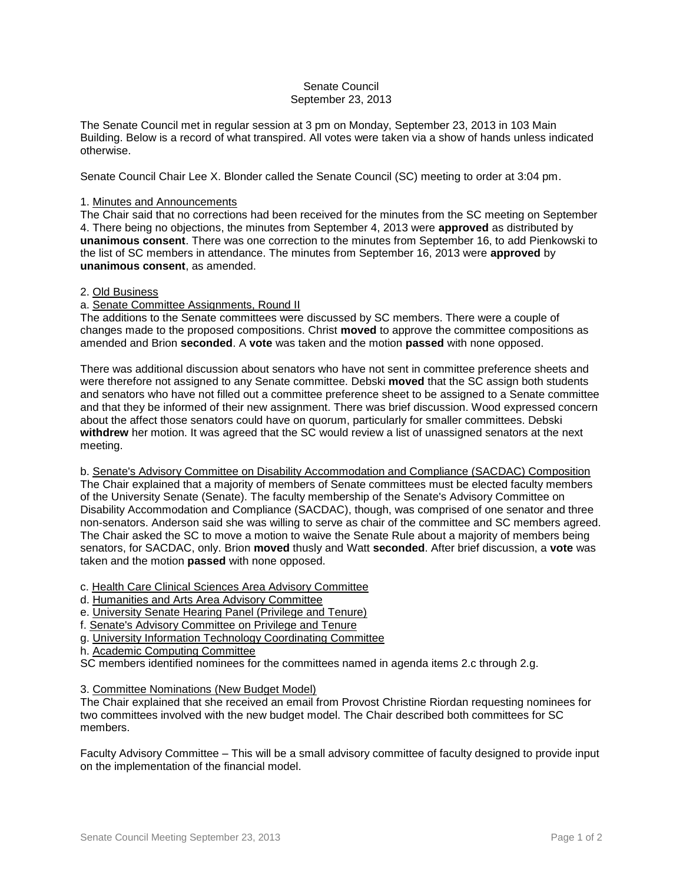### Senate Council September 23, 2013

The Senate Council met in regular session at 3 pm on Monday, September 23, 2013 in 103 Main Building. Below is a record of what transpired. All votes were taken via a show of hands unless indicated otherwise.

Senate Council Chair Lee X. Blonder called the Senate Council (SC) meeting to order at 3:04 pm.

# 1. Minutes and Announcements

The Chair said that no corrections had been received for the minutes from the SC meeting on September 4. There being no objections, the minutes from September 4, 2013 were **approved** as distributed by **unanimous consent**. There was one correction to the minutes from September 16, to add Pienkowski to the list of SC members in attendance. The minutes from September 16, 2013 were **approved** by **unanimous consent**, as amended.

### 2. Old Business

# a. Senate Committee Assignments, Round II

The additions to the Senate committees were discussed by SC members. There were a couple of changes made to the proposed compositions. Christ **moved** to approve the committee compositions as amended and Brion **seconded**. A **vote** was taken and the motion **passed** with none opposed.

There was additional discussion about senators who have not sent in committee preference sheets and were therefore not assigned to any Senate committee. Debski **moved** that the SC assign both students and senators who have not filled out a committee preference sheet to be assigned to a Senate committee and that they be informed of their new assignment. There was brief discussion. Wood expressed concern about the affect those senators could have on quorum, particularly for smaller committees. Debski **withdrew** her motion. It was agreed that the SC would review a list of unassigned senators at the next meeting.

b. Senate's Advisory Committee on Disability Accommodation and Compliance (SACDAC) Composition The Chair explained that a majority of members of Senate committees must be elected faculty members of the University Senate (Senate). The faculty membership of the Senate's Advisory Committee on Disability Accommodation and Compliance (SACDAC), though, was comprised of one senator and three non-senators. Anderson said she was willing to serve as chair of the committee and SC members agreed. The Chair asked the SC to move a motion to waive the Senate Rule about a majority of members being senators, for SACDAC, only. Brion **moved** thusly and Watt **seconded**. After brief discussion, a **vote** was taken and the motion **passed** with none opposed.

c. Health Care Clinical Sciences Area Advisory Committee

- d. Humanities and Arts Area Advisory Committee
- e. University Senate Hearing Panel (Privilege and Tenure)
- f. Senate's Advisory Committee on Privilege and Tenure
- g. University Information Technology Coordinating Committee
- h. Academic Computing Committee

SC members identified nominees for the committees named in agenda items 2.c through 2.g.

3. Committee Nominations (New Budget Model)

The Chair explained that she received an email from Provost Christine Riordan requesting nominees for two committees involved with the new budget model. The Chair described both committees for SC members.

Faculty Advisory Committee – This will be a small advisory committee of faculty designed to provide input on the implementation of the financial model.